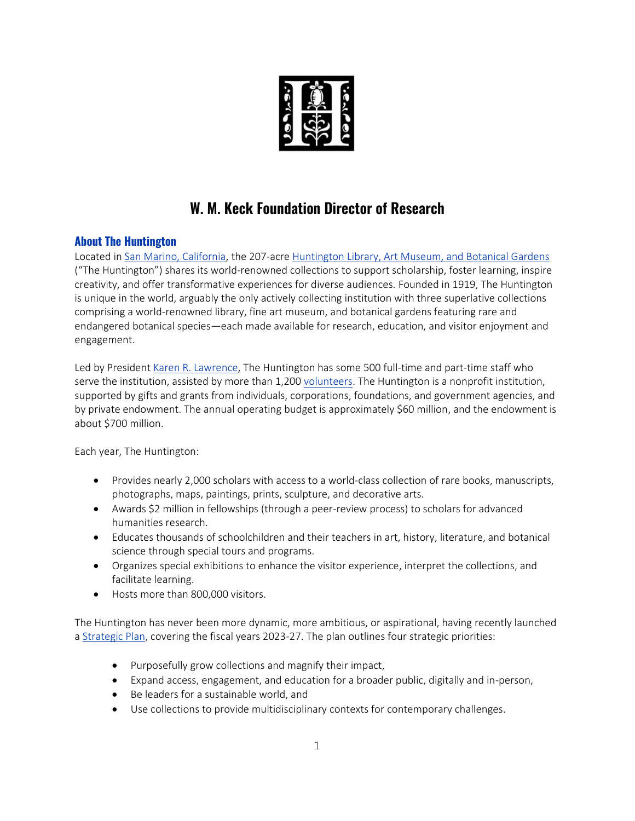

## **W. M. Keck Foundation Director of Research**

## **About The Huntington**

Located in [San Marino, California,](https://www.cityofsanmarino.org/community/index.php) the 207-acre [Huntington Library, Art Museum, and Botanical Gardens](https://www.huntington.org/) ("The Huntington") shares its world-renowned collections to support scholarship, foster learning, inspire creativity, and offer transformative experiences for diverse audiences. Founded in 1919, The Huntington is unique in the world, arguably the only actively collecting institution with three superlative collections comprising a world-renowned library, fine art museum, and botanical gardens featuring rare and endangered botanical species—each made available for research, education, and visitor enjoyment and engagement.

Led by President [Karen R. Lawrence,](https://www.huntington.org/office-of-the-president) The Huntington has some 500 full-time and part-time staff who serve the institution, assisted by more than 1,200 [volunteers.](https://www.huntington.org/volunteer) The Huntington is a nonprofit institution, supported by gifts and grants from individuals, corporations, foundations, and government agencies, and by private endowment. The annual operating budget is approximately \$60 million, and the endowment is about \$700 million.

Each year, The Huntington:

- Provides nearly 2,000 scholars with access to a world-class collection of rare books, manuscripts, photographs, maps, paintings, prints, sculpture, and decorative arts.
- Awards \$2 million in fellowships (through a peer-review process) to scholars for advanced humanities research.
- Educates thousands of schoolchildren and their teachers in art, history, literature, and botanical science through special tours and programs.
- Organizes special exhibitions to enhance the visitor experience, interpret the collections, and facilitate learning.
- Hosts more than 800,000 visitors.

The Huntington has never been more dynamic, more ambitious, or aspirational, having recently launched [a Strategic Plan,](https://www.huntington.org/strategic-plan) covering the fiscal years 2023-27. The plan outlines four strategic priorities:

- Purposefully grow collections and magnify their impact,
- Expand access, engagement, and education for a broader public, digitally and in-person,
- Be leaders for a sustainable world, and
- Use collections to provide multidisciplinary contexts for contemporary challenges.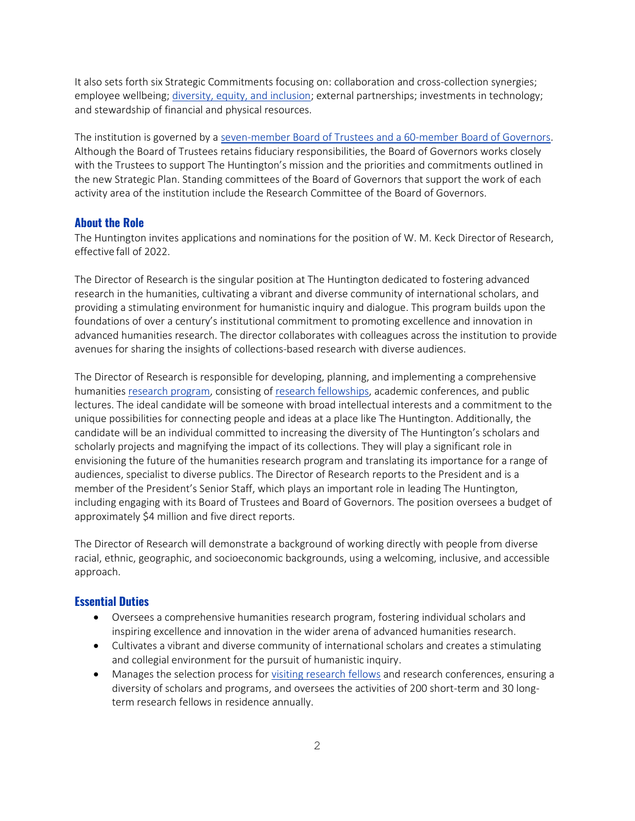It also sets forth six Strategic Commitments focusing on: collaboration and cross-collection synergies; employee wellbeing; [diversity, equity, and inclusion;](https://www.huntington.org/diversity-equity-inclusion) external partnerships; investments in technology; and stewardship of financial and physical resources.

The institution is governed by a [seven-member Board of Trustees and a 60-member Board of Governors.](https://www.huntington.org/trustees-governors) Although the Board of Trustees retains fiduciary responsibilities, the Board of Governors works closely with the Trustees to support The Huntington's mission and the priorities and commitments outlined in the new Strategic Plan. Standing committees of the Board of Governors that support the work of each activity area of the institution include the Research Committee of the Board of Governors.

#### **About the Role**

The Huntington invites applications and nominations for the position of W. M. Keck Director of Research, effective fall of 2022.

The Director of Research is the singular position at The Huntington dedicated to fostering advanced research in the humanities, cultivating a vibrant and diverse community of international scholars, and providing a stimulating environment for humanistic inquiry and dialogue. This program builds upon the foundations of over a century's institutional commitment to promoting excellence and innovation in advanced humanities research. The director collaborates with colleagues across the institution to provide avenues for sharing the insights of collections-based research with diverse audiences.

The Director of Research is responsible for developing, planning, and implementing a comprehensive humanitie[s research program,](https://www.huntington.org/research) consisting o[f research fellowships,](https://www.huntington.org/fellowships) academic conferences, and public lectures. The ideal candidate will be someone with broad intellectual interests and a commitment to the unique possibilities for connecting people and ideas at a place like The Huntington. Additionally, the candidate will be an individual committed to increasing the diversity of The Huntington's scholars and scholarly projects and magnifying the impact of its collections. They will play a significant role in envisioning the future of the humanities research program and translating its importance for a range of audiences, specialist to diverse publics. The Director of Research reports to the President and is a member of the President's Senior Staff, which plays an important role in leading The Huntington, including engaging with its Board of Trustees and Board of Governors. The position oversees a budget of approximately \$4 million and five direct reports.

The Director of Research will demonstrate a background of working directly with people from diverse racial, ethnic, geographic, and socioeconomic backgrounds, using a welcoming, inclusive, and accessible approach.

#### **Essential Duties**

- Oversees a comprehensive humanities research program, fostering individual scholars and inspiring excellence and innovation in the wider arena of advanced humanities research.
- Cultivates a vibrant and diverse community of international scholars and creates a stimulating and collegial environment for the pursuit of humanistic inquiry.
- Manages the selection process for [visiting research fellows](https://www.huntington.org/fellowships) and research conferences, ensuring a diversity of scholars and programs, and oversees the activities of 200 short-term and 30 longterm research fellows in residence annually.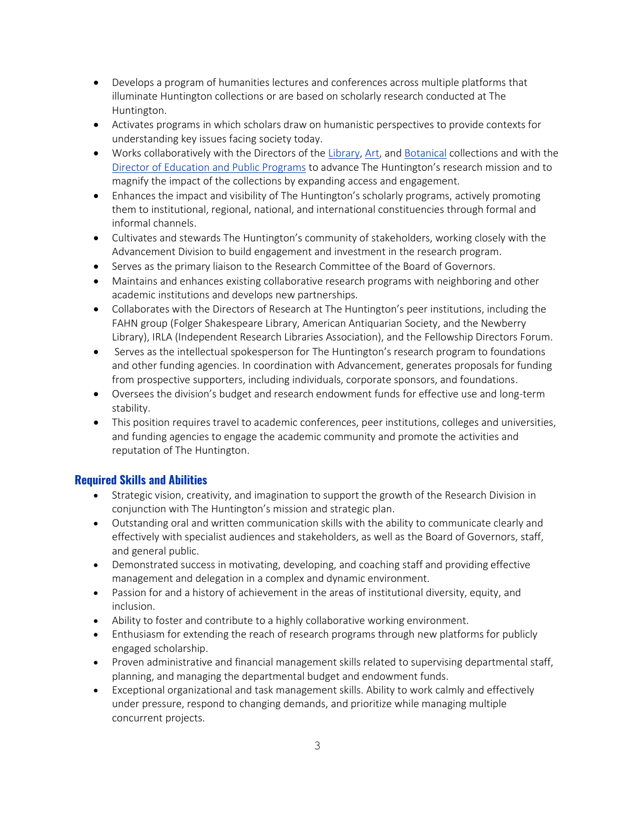- Develops a program of humanities lectures and conferences across multiple platforms that illuminate Huntington collections or are based on scholarly research conducted at The Huntington.
- Activates programs in which scholars draw on humanistic perspectives to provide contexts for understanding key issues facing society today.
- Works collaboratively with the Directors of th[e Library,](https://www.huntington.org/library-collections) [Art,](https://www.huntington.org/art-collections) and [Botanical](https://www.huntington.org/botanical-living-collections) collections and with the Director of Education and Public Programs to advance The Huntington's research mission and to magnify the impact of the collections by expanding access and engagement.
- Enhances the impact and visibility of The Huntington's scholarly programs, actively promoting them to institutional, regional, national, and international constituencies through formal and informal channels.
- Cultivates and stewards The Huntington's community of stakeholders, working closely with the Advancement Division to build engagement and investment in the research program.
- Serves as the primary liaison to the Research Committee of the Board of Governors.
- Maintains and enhances existing collaborative research programs with neighboring and other academic institutions and develops new partnerships.
- Collaborates with the Directors of Research at The Huntington's peer institutions, including the FAHN group (Folger Shakespeare Library, American Antiquarian Society, and the Newberry Library), IRLA (Independent Research Libraries Association), and the Fellowship Directors Forum.
- Serves as the intellectual spokesperson for The Huntington's research program to foundations and other funding agencies. In coordination with Advancement, generates proposals for funding from prospective supporters, including individuals, corporate sponsors, and foundations.
- Oversees the division's budget and research endowment funds for effective use and long-term stability.
- This position requires travel to academic conferences, peer institutions, colleges and universities, and funding agencies to engage the academic community and promote the activities and reputation of The Huntington.

## **Required Skills and Abilities**

- Strategic vision, creativity, and imagination to support the growth of the Research Division in conjunction with The Huntington's mission and strategic plan.
- Outstanding oral and written communication skills with the ability to communicate clearly and effectively with specialist audiences and stakeholders, as well as the Board of Governors, staff, and general public.
- Demonstrated success in motivating, developing, and coaching staff and providing effective management and delegation in a complex and dynamic environment.
- Passion for and a history of achievement in the areas of institutional diversity, equity, and inclusion.
- Ability to foster and contribute to a highly collaborative working environment.
- Enthusiasm for extending the reach of research programs through new platforms for publicly engaged scholarship.
- Proven administrative and financial management skills related to supervising departmental staff, planning, and managing the departmental budget and endowment funds.
- Exceptional organizational and task management skills. Ability to work calmly and effectively under pressure, respond to changing demands, and prioritize while managing multiple concurrent projects.